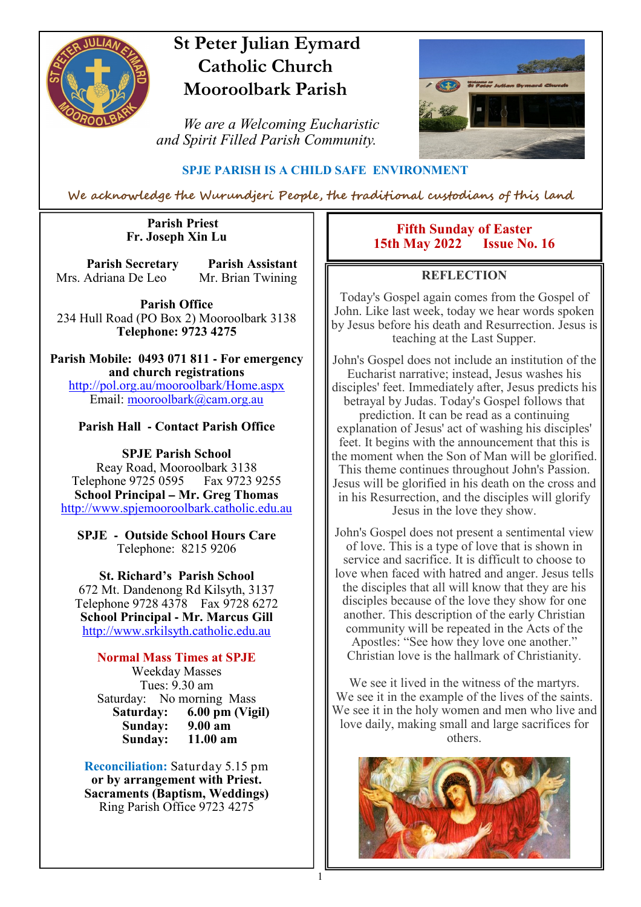

# **St Peter Julian Eymard Catholic Church Mooroolbark Parish**

 *We are a Welcoming Eucharistic and Spirit Filled Parish Community.*



## **SPJE PARISH IS A CHILD SAFE ENVIRONMENT**

We acknowledge the Wurundjeri People, the traditional custodians of this land

1

#### **Parish Priest Fr. Joseph Xin Lu**

**Parish Secretary Parish Assistant** Mrs. Adriana De Leo Mr. Brian Twining

**Parish Office** 234 Hull Road (PO Box 2) Mooroolbark 3138 **Telephone: 9723 4275** 

**Parish Mobile: 0493 071 811 - For emergency and church registrations** http://pol.org.au/mooroolbark/Home.aspx Email: mooroolbark@cam.org.au

## **Parish Hall - Contact Parish Office**

**SPJE Parish School** Reay Road, Mooroolbark 3138 Telephone 9725 0595 Fax 9723 9255 **School Principal – Mr. Greg Thomas** http://www.spjemooroolbark.catholic.edu.au

**SPJE - Outside School Hours Care** Telephone: 8215 9206

**St. Richard's Parish School** 672 Mt. Dandenong Rd Kilsyth, 3137 Telephone 9728 4378 Fax 9728 6272 **School Principal - Mr. Marcus Gill** http://www.srkilsyth.catholic.edu.au

**Normal Mass Times at SPJE**  Weekday Masses Tues: 9.30 am Saturday: No morning Mass<br>Saturday: 6.00 pm (Vig **6.00 pm (Vigil)**<br>9.00 am **Sunday: 9.00 am Sunday:** 

**Reconciliation:** Saturday 5.15 pm **or by arrangement with Priest. Sacraments (Baptism, Weddings)**  Ring Parish Office 9723 4275

#### **Fifth Sunday of Easter 15th May 2022**

## **REFLECTION**

Today's Gospel again comes from the Gospel of John. Like last week, today we hear words spoken by Jesus before his death and Resurrection. Jesus is teaching at the Last Supper.

John's Gospel does not include an institution of the Eucharist narrative; instead, Jesus washes his disciples' feet. Immediately after, Jesus predicts his betrayal by Judas. Today's Gospel follows that prediction. It can be read as a continuing explanation of Jesus' act of washing his disciples' feet. It begins with the announcement that this is the moment when the Son of Man will be glorified. This theme continues throughout John's Passion. Jesus will be glorified in his death on the cross and in his Resurrection, and the disciples will glorify Jesus in the love they show.

John's Gospel does not present a sentimental view of love. This is a type of love that is shown in service and sacrifice. It is difficult to choose to love when faced with hatred and anger. Jesus tells the disciples that all will know that they are his disciples because of the love they show for one another. This description of the early Christian community will be repeated in the Acts of the Apostles: "See how they love one another." Christian love is the hallmark of Christianity.

We see it lived in the witness of the martyrs. We see it in the example of the lives of the saints. We see it in the holy women and men who live and love daily, making small and large sacrifices for others.

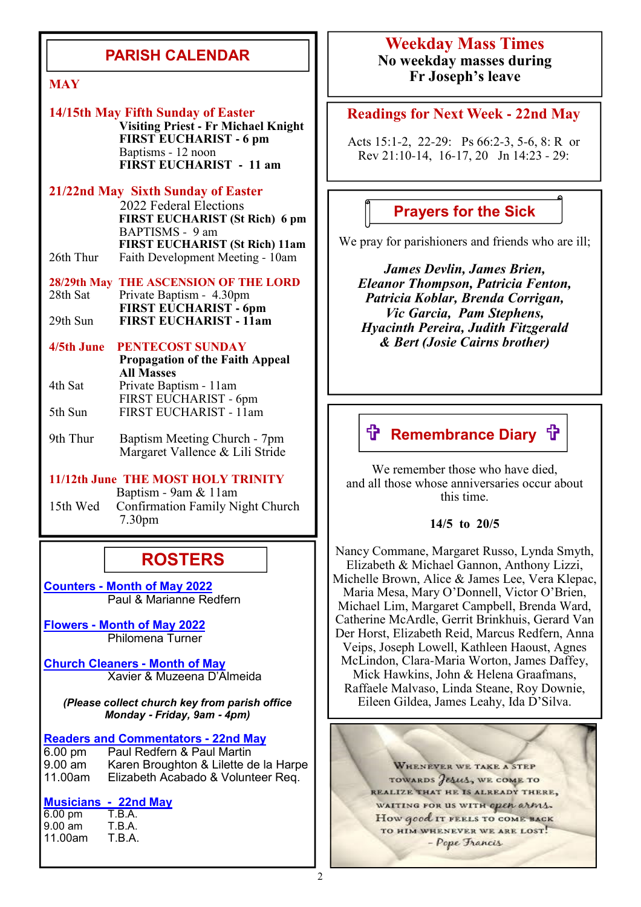## **PARISH CALENDAR**

#### **14/15th May Fifth Sunday of Easter**

 **Visiting Priest - Fr Michael Knight FIRST EUCHARIST - 6 pm** Baptisms - 12 noon **FIRST EUCHARIST - 11 am**

#### **21/22nd May Sixth Sunday of Easter**

2022 Federal Elections **FIRST EUCHARIST (St Rich) 6 pm** BAPTISMS - 9 am **FIRST EUCHARIST (St Rich) 11am**<br>26th Thur Faith Development Meeting - 10am Faith Development Meeting - 10am

**28/29th May THE ASCENSION OF THE LORD**<br>28th Sat Private Baptism - 4.30pm Private Baptism - 4.30pm **FIRST EUCHARIST - 6pm**<br>29th Sun **FIRST EUCHARIST - 11am** 29th Sun **FIRST EUCHARIST - 11am**

#### **4/5th June PENTECOST SUNDAY**

|         | <b>Propagation of the Faith Appeal</b><br><b>All Masses</b> |
|---------|-------------------------------------------------------------|
| 4th Sat | Private Baptism - 11am                                      |
|         | FIRST EUCHARIST - 6pm                                       |
| 5th Sun | FIRST EUCHARIST - 11am                                      |

9th Thur Baptism Meeting Church - 7pm Margaret Vallence & Lili Stride

#### **11/12th June THE MOST HOLY TRINITY** Baptism - 9am & 11am<br>15th Wed Confirmation Family Ni Confirmation Family Night Church 7.30pm

## **ROSTERS**

**Counters - Month of May 2022** Paul & Marianne Redfern

**Flowers - Month of May 2022** Philomena Turner

**Church Cleaners - Month of May** Xavier & Muzeena D'Almeida

*(Please collect church key from parish office Monday* **-** *Friday, 9am* **-** *4pm)*

**Readers and Commentators - 22nd May**

6.00 pm Paul Redfern & Paul Martin 9.00 am Karen Broughton & Lilette de la Harpe<br>11.00am Elizabeth Acabado & Volunteer Reg. Elizabeth Acabado & Volunteer Req.

# **Musicians - 22nd May**

6.00 pm T.B.A.<br>9.00 am T.B.A.  $9.00$  am 11.00am T.B.A.

## **Weekday Mass Times No weekday masses during Fr Joseph's leave**

#### **Readings for Next Week - 22nd May**

Acts 15:1-2, 22-29: Ps 66:2-3, 5-6, 8: R or Rev 21:10-14, 16-17, 20 Jn 14:23 - 29:

## **Prayers for the Sick**

We pray for parishioners and friends who are ill;

*James Devlin, James Brien, Eleanor Thompson, Patricia Fenton, Patricia Koblar, Brenda Corrigan, Vic Garcia, Pam Stephens, Hyacinth Pereira, Judith Fitzgerald & Bert (Josie Cairns brother)*

# **ft Remembrance Diary ft**

We remember those who have died, and all those whose anniversaries occur about this time.

#### **14/5 to 20/5**

Nancy Commane, Margaret Russo, Lynda Smyth, Elizabeth & Michael Gannon, Anthony Lizzi, Michelle Brown, Alice & James Lee, Vera Klepac, Maria Mesa, Mary O'Donnell, Victor O'Brien, Michael Lim, Margaret Campbell, Brenda Ward, Catherine McArdle, Gerrit Brinkhuis, Gerard Van Der Horst, Elizabeth Reid, Marcus Redfern, Anna Veips, Joseph Lowell, Kathleen Haoust, Agnes McLindon, Clara-Maria Worton, James Daffey, Mick Hawkins, John & Helena Graafmans, Raffaele Malvaso, Linda Steane, Roy Downie, Eileen Gildea, James Leahy, Ida D'Silva.